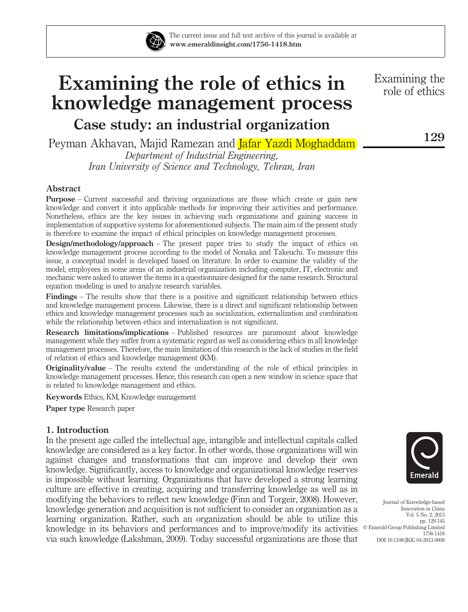

# Examining the role of ethics in knowledge management process

# Case study: an industrial organization

Peyman Akhavan, Majid Ramezan and lafar Yazdi Moghaddam Department of Industrial Engineering, Iran University of Science and Technology, Tehran, Iran

#### Abstract

Purpose – Current successful and thriving organizations are those which create or gain new knowledge and convert it into applicable methods for improving their activities and performance. Nonetheless, ethics are the key issues in achieving such organizations and gaining success in implementation of supportive systems for aforementioned subjects. The main aim of the present study is therefore to examine the impact of ethical principles on knowledge management processes.

Design/methodology/approach – The present paper tries to study the impact of ethics on knowledge management process according to the model of Nonaka and Takeuchi. To measure this issue, a conceptual model is developed based on literature. In order to examine the validity of the model, employees in some areas of an industrial organization including computer, IT, electronic and mechanic were asked to answer the items in a questionnaire designed for the same research. Structural equation modeling is used to analyze research variables.

Findings – The results show that there is a positive and significant relationship between ethics and knowledge management process. Likewise, there is a direct and significant relationship between ethics and knowledge management processes such as socialization, externalization and combination while the relationship between ethics and internalization is not significant.

Research limitations/implications – Published resources are paramount about knowledge management while they suffer from a systematic regard as well as considering ethics in all knowledge management processes. Therefore, the main limitation of this research is the lack of studies in the field of relation of ethics and knowledge management (KM).

Originality/value – The results extend the understanding of the role of ethical principles in knowledge management processes. Hence, this research can open a new window in science space that is related to knowledge management and ethics.

Keywords Ethics, KM, Knowledge management

Paper type Research paper

#### 1. Introduction

In the present age called the intellectual age, intangible and intellectual capitals called knowledge are considered as a key factor. In other words, those organizations will win against changes and transformations that can improve and develop their own knowledge. Significantly, access to knowledge and organizational knowledge reserves is impossible without learning. Organizations that have developed a strong learning culture are effective in creating, acquiring and transferring knowledge as well as in modifying the behaviors to reflect new knowledge (Finn and Torgeir, 2008). However, knowledge generation and acquisition is not sufficient to consider an organization as a learning organization. Rather, such an organization should be able to utilize this knowledge in its behaviors and performances and to improve/modify its activities via such knowledge (Lakshman, 2009). Today successful organizations are those that



Journal of Knowledge-based Innovation in China Vol. 5 No. 2, 2013 pp. 129-145  $©$  Emerald Group Publishing Limited 1756-1418 DOI 10.1108/JKIC-04-2013-0008

Examining the role of ethics

129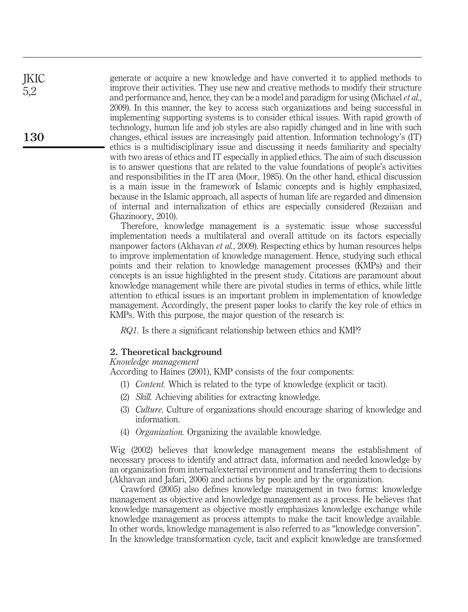generate or acquire a new knowledge and have converted it to applied methods to improve their activities. They use new and creative methods to modify their structure and performance and, hence, they can be a model and paradigm for using (Michael *et al.*, 2009). In this manner, the key to access such organizations and being successful in implementing supporting systems is to consider ethical issues. With rapid growth of technology, human life and job styles are also rapidly changed and in line with such changes, ethical issues are increasingly paid attention. Information technology's (IT) ethics is a multidisciplinary issue and discussing it needs familiarity and specialty with two areas of ethics and IT especially in applied ethics. The aim of such discussion is to answer questions that are related to the value foundations of people's activities and responsibilities in the IT area (Moor, 1985). On the other hand, ethical discussion is a main issue in the framework of Islamic concepts and is highly emphasized, because in the Islamic approach, all aspects of human life are regarded and dimension of internal and internalization of ethics are especially considered (Rezaiian and Ghazinoory, 2010).

Therefore, knowledge management is a systematic issue whose successful implementation needs a multilateral and overall attitude on its factors especially manpower factors (Akhavan *et al.*, 2009). Respecting ethics by human resources helps to improve implementation of knowledge management. Hence, studying such ethical points and their relation to knowledge management processes (KMPs) and their concepts is an issue highlighted in the present study. Citations are paramount about knowledge management while there are pivotal studies in terms of ethics, while little attention to ethical issues is an important problem in implementation of knowledge management. Accordingly, the present paper looks to clarify the key role of ethics in KMPs. With this purpose, the major question of the research is:

RQ1. Is there a significant relationship between ethics and KMP?

#### 2. Theoretical background

#### Knowledge management

According to Haines (2001), KMP consists of the four components:

- (1) Content. Which is related to the type of knowledge (explicit or tacit).
- (2) Skill. Achieving abilities for extracting knowledge.
- (3) Culture. Culture of organizations should encourage sharing of knowledge and information.
- (4) Organization. Organizing the available knowledge.

Wig (2002) believes that knowledge management means the establishment of necessary process to identify and attract data, information and needed knowledge by an organization from internal/external environment and transferring them to decisions (Akhavan and Jafari, 2006) and actions by people and by the organization.

Crawford (2005) also defines knowledge management in two forms: knowledge management as objective and knowledge management as a process. He believes that knowledge management as objective mostly emphasizes knowledge exchange while knowledge management as process attempts to make the tacit knowledge available. In other words, knowledge management is also referred to as "knowledge conversion". In the knowledge transformation cycle, tacit and explicit knowledge are transformed

**IKIC** 5,2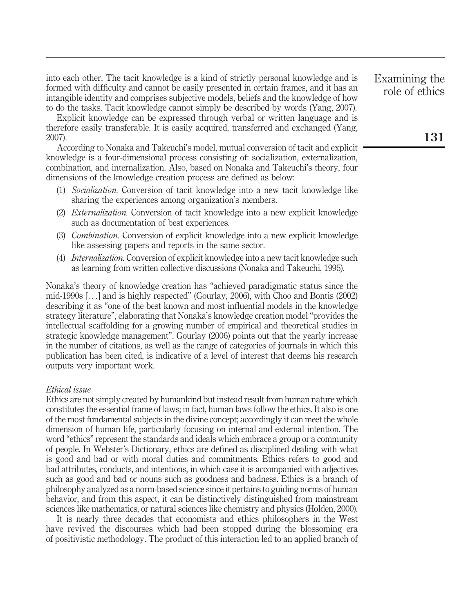into each other. The tacit knowledge is a kind of strictly personal knowledge and is formed with difficulty and cannot be easily presented in certain frames, and it has an intangible identity and comprises subjective models, beliefs and the knowledge of how to do the tasks. Tacit knowledge cannot simply be described by words (Yang, 2007).

Explicit knowledge can be expressed through verbal or written language and is therefore easily transferable. It is easily acquired, transferred and exchanged (Yang, 2007).

According to Nonaka and Takeuchi's model, mutual conversion of tacit and explicit knowledge is a four-dimensional process consisting of: socialization, externalization, combination, and internalization. Also, based on Nonaka and Takeuchi's theory, four dimensions of the knowledge creation process are defined as below:

- (1) Socialization. Conversion of tacit knowledge into a new tacit knowledge like sharing the experiences among organization's members.
- (2) Externalization. Conversion of tacit knowledge into a new explicit knowledge such as documentation of best experiences.
- (3) Combination. Conversion of explicit knowledge into a new explicit knowledge like assessing papers and reports in the same sector.
- (4) Internalization. Conversion of explicit knowledge into a new tacit knowledge such as learning from written collective discussions (Nonaka and Takeuchi, 1995).

Nonaka's theory of knowledge creation has "achieved paradigmatic status since the mid-1990s [...] and is highly respected" (Gourlay, 2006), with Choo and Bontis (2002) describing it as "one of the best known and most influential models in the knowledge strategy literature", elaborating that Nonaka's knowledge creation model "provides the intellectual scaffolding for a growing number of empirical and theoretical studies in strategic knowledge management". Gourlay (2006) points out that the yearly increase in the number of citations, as well as the range of categories of journals in which this publication has been cited, is indicative of a level of interest that deems his research outputs very important work.

#### Ethical issue

Ethics are not simply created by humankind but instead result from human nature which constitutes the essential frame of laws; in fact, human laws follow the ethics. It also is one of the most fundamental subjects in the divine concept; accordingly it can meet the whole dimension of human life, particularly focusing on internal and external intention. The word "ethics" represent the standards and ideals which embrace a group or a community of people. In Webster's Dictionary, ethics are defined as disciplined dealing with what is good and bad or with moral duties and commitments. Ethics refers to good and bad attributes, conducts, and intentions, in which case it is accompanied with adjectives such as good and bad or nouns such as goodness and badness. Ethics is a branch of philosophy analyzed as a norm-based science since it pertains to guiding norms of human behavior, and from this aspect, it can be distinctively distinguished from mainstream sciences like mathematics, or natural sciences like chemistry and physics (Holden, 2000).

It is nearly three decades that economists and ethics philosophers in the West have revived the discourses which had been stopped during the blossoming era of positivistic methodology. The product of this interaction led to an applied branch of Examining the role of ethics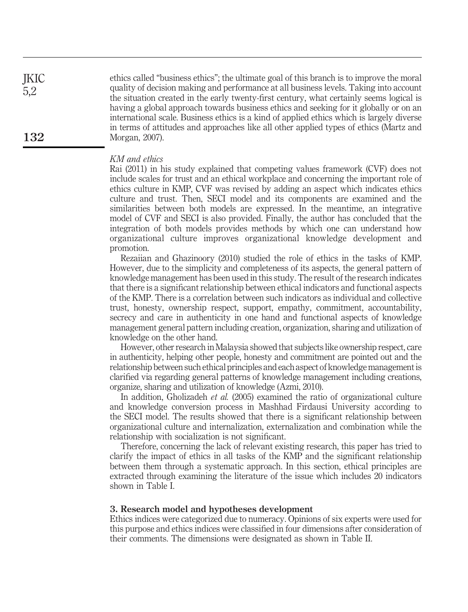ethics called "business ethics"; the ultimate goal of this branch is to improve the moral quality of decision making and performance at all business levels. Taking into account the situation created in the early twenty-first century, what certainly seems logical is having a global approach towards business ethics and seeking for it globally or on an international scale. Business ethics is a kind of applied ethics which is largely diverse in terms of attitudes and approaches like all other applied types of ethics (Martz and Morgan, 2007).

#### KM and ethics

Rai (2011) in his study explained that competing values framework (CVF) does not include scales for trust and an ethical workplace and concerning the important role of ethics culture in KMP, CVF was revised by adding an aspect which indicates ethics culture and trust. Then, SECI model and its components are examined and the similarities between both models are expressed. In the meantime, an integrative model of CVF and SECI is also provided. Finally, the author has concluded that the integration of both models provides methods by which one can understand how organizational culture improves organizational knowledge development and promotion.

Rezaiian and Ghazinoory (2010) studied the role of ethics in the tasks of KMP. However, due to the simplicity and completeness of its aspects, the general pattern of knowledge management has been used in this study. The result of the research indicates that there is a significant relationship between ethical indicators and functional aspects of the KMP. There is a correlation between such indicators as individual and collective trust, honesty, ownership respect, support, empathy, commitment, accountability, secrecy and care in authenticity in one hand and functional aspects of knowledge management general pattern including creation, organization, sharing and utilization of knowledge on the other hand.

However, other research in Malaysia showed that subjects like ownership respect, care in authenticity, helping other people, honesty and commitment are pointed out and the relationship between such ethical principles and each aspect of knowledge management is clarified via regarding general patterns of knowledge management including creations, organize, sharing and utilization of knowledge (Azmi, 2010).

In addition, Gholizadeh et al. (2005) examined the ratio of organizational culture and knowledge conversion process in Mashhad Firdausi University according to the SECI model. The results showed that there is a significant relationship between organizational culture and internalization, externalization and combination while the relationship with socialization is not significant.

Therefore, concerning the lack of relevant existing research, this paper has tried to clarify the impact of ethics in all tasks of the KMP and the significant relationship between them through a systematic approach. In this section, ethical principles are extracted through examining the literature of the issue which includes 20 indicators shown in Table I.

#### 3. Research model and hypotheses development

Ethics indices were categorized due to numeracy. Opinions of six experts were used for this purpose and ethics indices were classified in four dimensions after consideration of their comments. The dimensions were designated as shown in Table II.

**IKIC** 5,2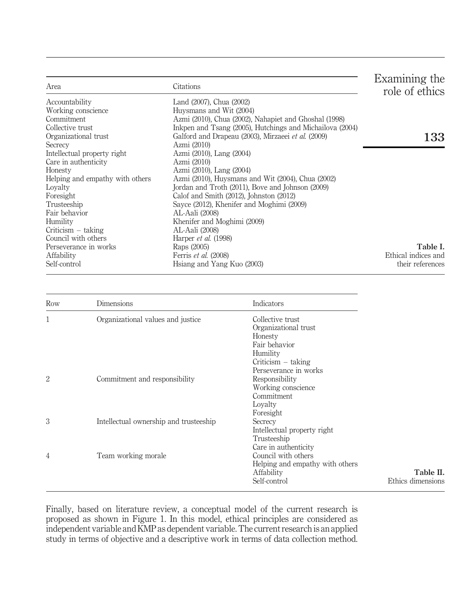| Area                            | Citations                                                | Examining the<br>role of ethics |
|---------------------------------|----------------------------------------------------------|---------------------------------|
| Accountability                  | Land (2007), Chua (2002)                                 |                                 |
| Working conscience              | Huysmans and Wit (2004)                                  |                                 |
| Commitment                      | Azmi (2010), Chua (2002), Nahapiet and Ghoshal (1998)    |                                 |
| Collective trust                | Inkpen and Tsang (2005), Hutchings and Michailova (2004) |                                 |
| Organizational trust            | Galford and Drapeau (2003), Mirzaeei et al. (2009)       | 133                             |
| Secrecy                         | Azmi (2010)                                              |                                 |
| Intellectual property right     | Azmi (2010), Lang (2004)                                 |                                 |
| Care in authenticity            | Azmi (2010)                                              |                                 |
| Honesty                         | Azmi (2010), Lang (2004)                                 |                                 |
| Helping and empathy with others | Azmi (2010), Huysmans and Wit (2004), Chua (2002)        |                                 |
| Lovalty                         | Jordan and Troth (2011), Bove and Johnson (2009)         |                                 |
| Foresight                       | Calof and Smith (2012), Johnston (2012)                  |                                 |
| Trusteeship                     | Sayce (2012), Khenifer and Moghimi (2009)                |                                 |
| Fair behavior                   | AL-Aali (2008)                                           |                                 |
| Humility                        | Khenifer and Moghimi (2009)                              |                                 |
| $Criticism - taking$            | AL-Aali (2008)                                           |                                 |
| Council with others             | Harper <i>et al.</i> (1998)                              |                                 |
| Perseverance in works           | Raps (2005)                                              | Table I.                        |
| Affability                      | Ferris et al. (2008)                                     | Ethical indices and             |
| Self-control                    | Hsiang and Yang Kuo (2003)                               | their references                |

| Row            | Dimensions                             | Indicators                      |                   |
|----------------|----------------------------------------|---------------------------------|-------------------|
| 1              | Organizational values and justice      | Collective trust                |                   |
|                |                                        | Organizational trust            |                   |
|                |                                        | Honesty                         |                   |
|                |                                        | Fair behavior                   |                   |
|                |                                        | Humility                        |                   |
|                |                                        | Criticism $-$ taking            |                   |
|                |                                        | Perseverance in works           |                   |
| 2              | Commitment and responsibility          | Responsibility                  |                   |
|                |                                        | Working conscience              |                   |
|                |                                        | Commitment                      |                   |
|                |                                        | Lovalty                         |                   |
|                |                                        | Foresight                       |                   |
| 3              | Intellectual ownership and trusteeship | Secrecy                         |                   |
|                |                                        | Intellectual property right     |                   |
|                |                                        | Trusteeship                     |                   |
|                |                                        | Care in authenticity            |                   |
| $\overline{4}$ | Team working morale                    | Council with others             |                   |
|                |                                        | Helping and empathy with others |                   |
|                |                                        | Affability                      | Table II.         |
|                |                                        | Self-control                    | Ethics dimensions |

Finally, based on literature review, a conceptual model of the current research is proposed as shown in Figure 1. In this model, ethical principles are considered as independent variable and KMP as dependent variable. The current research is an applied study in terms of objective and a descriptive work in terms of data collection method.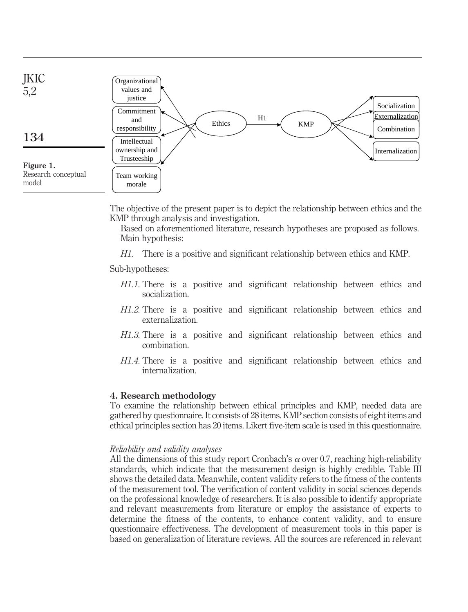

The objective of the present paper is to depict the relationship between ethics and the KMP through analysis and investigation.

Based on aforementioned literature, research hypotheses are proposed as follows. Main hypothesis:

H1. There is a positive and significant relationship between ethics and KMP.

Sub-hypotheses:

- H1.1. There is a positive and significant relationship between ethics and socialization.
- H1.2. There is a positive and significant relationship between ethics and externalization.
- H1.3. There is a positive and significant relationship between ethics and combination.
- H1.4. There is a positive and significant relationship between ethics and internalization.

#### 4. Research methodology

To examine the relationship between ethical principles and KMP, needed data are gathered by questionnaire. It consists of 28 items. KMP section consists of eight items and ethical principles section has 20 items. Likert five-item scale is used in this questionnaire.

#### Reliability and validity analyses

All the dimensions of this study report Cronbach's  $\alpha$  over 0.7, reaching high-reliability standards, which indicate that the measurement design is highly credible. Table III shows the detailed data. Meanwhile, content validity refers to the fitness of the contents of the measurement tool. The verification of content validity in social sciences depends on the professional knowledge of researchers. It is also possible to identify appropriate and relevant measurements from literature or employ the assistance of experts to determine the fitness of the contents, to enhance content validity, and to ensure questionnaire effectiveness. The development of measurement tools in this paper is based on generalization of literature reviews. All the sources are referenced in relevant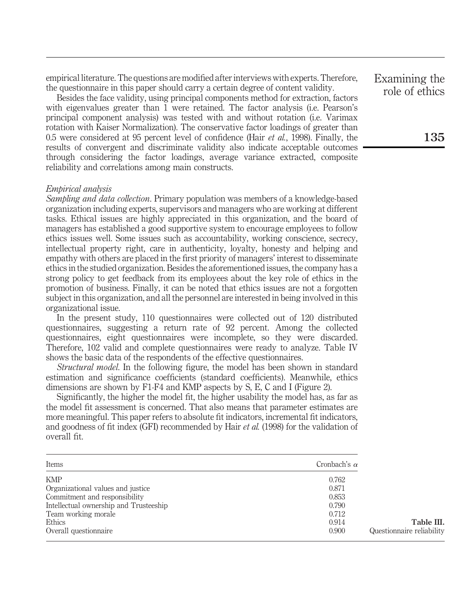empirical literature. The questions are modified after interviews with experts. Therefore, the questionnaire in this paper should carry a certain degree of content validity.

Besides the face validity, using principal components method for extraction, factors with eigenvalues greater than 1 were retained. The factor analysis (i.e. Pearson's principal component analysis) was tested with and without rotation (i.e. Varimax rotation with Kaiser Normalization). The conservative factor loadings of greater than 0.5 were considered at 95 percent level of confidence (Hair *et al.*, 1998). Finally, the results of convergent and discriminate validity also indicate acceptable outcomes through considering the factor loadings, average variance extracted, composite reliability and correlations among main constructs.

#### Empirical analysis

Sampling and data collection. Primary population was members of a knowledge-based organization including experts, supervisors and managers who are working at different tasks. Ethical issues are highly appreciated in this organization, and the board of managers has established a good supportive system to encourage employees to follow ethics issues well. Some issues such as accountability, working conscience, secrecy, intellectual property right, care in authenticity, loyalty, honesty and helping and empathy with others are placed in the first priority of managers' interest to disseminate ethics in the studied organization. Besides the aforementioned issues, the company has a strong policy to get feedback from its employees about the key role of ethics in the promotion of business. Finally, it can be noted that ethics issues are not a forgotten subject in this organization, and all the personnel are interested in being involved in this organizational issue.

In the present study, 110 questionnaires were collected out of 120 distributed questionnaires, suggesting a return rate of 92 percent. Among the collected questionnaires, eight questionnaires were incomplete, so they were discarded. Therefore, 102 valid and complete questionnaires were ready to analyze. Table IV shows the basic data of the respondents of the effective questionnaires.

Structural model. In the following figure, the model has been shown in standard estimation and significance coefficients (standard coefficients). Meanwhile, ethics dimensions are shown by F1-F4 and KMP aspects by S, E, C and I (Figure 2).

Significantly, the higher the model fit, the higher usability the model has, as far as the model fit assessment is concerned. That also means that parameter estimates are more meaningful. This paper refers to absolute fit indicators, incremental fit indicators, and goodness of fit index (GFI) recommended by Hair et al. (1998) for the validation of overall fit.

| Items                                  | Cronbach's $\alpha$ |                           |
|----------------------------------------|---------------------|---------------------------|
| <b>KMP</b>                             | 0.762               |                           |
| Organizational values and justice      | 0.871               |                           |
| Commitment and responsibility          | 0.853               |                           |
| Intellectual ownership and Trusteeship | 0.790               |                           |
| Team working morale                    | 0.712               |                           |
| Ethics                                 | 0.914               | Table III.                |
| Overall questionnaire                  | 0.900               | Questionnaire reliability |

Examining the role of ethics

135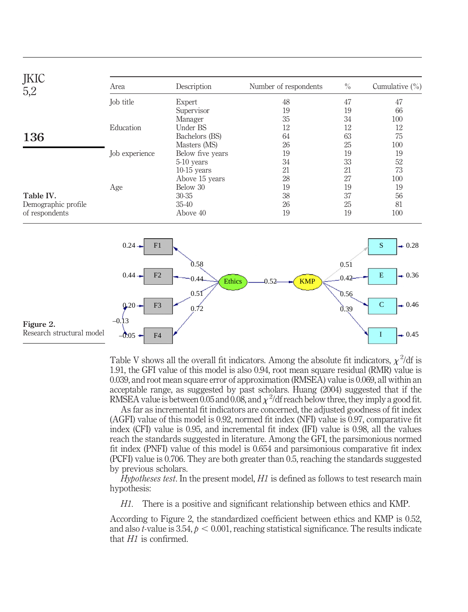| JKIC<br>5,2         | Area           | Description      | Number of respondents | $\%$ | Cumulative $(\% )$ |
|---------------------|----------------|------------------|-----------------------|------|--------------------|
|                     | Job title      | Expert           | 48                    | 47   | 47                 |
|                     |                | Supervisor       | 19                    | 19   | 66                 |
|                     |                | Manager          | 35                    | 34   | 100                |
|                     | Education      | Under BS         | 12                    | 12   | 12                 |
| 136                 |                | Bachelors (BS)   | 64                    | 63   | 75                 |
|                     |                | Masters (MS)     | 26                    | 25   | 100                |
|                     | Job experience | Below five years | 19                    | 19   | 19                 |
|                     |                | 5-10 years       | 34                    | 33   | 52                 |
|                     |                | $10-15$ years    | 21                    | 21   | 73                 |
|                     |                | Above 15 years   | 28                    | 27   | 100                |
|                     | Age            | Below 30         | 19                    | 19   | 19                 |
| Table IV.           |                | 30-35            | 38                    | 37   | 56                 |
| Demographic profile |                | $35-40$          | 26                    | 25   | 81                 |
| of respondents      |                | Above 40         | 19                    | 19   | 100                |



Table V shows all the overall fit indicators. Among the absolute fit indicators,  $\chi^2$ /df is 1.91, the GFI value of this model is also 0.94, root mean square residual (RMR) value is 0.039, and root mean square error of approximation (RMSEA) value is 0.069, all within an acceptable range, as suggested by past scholars. Huang (2004) suggested that if the RMSEA value is between 0.05 and 0.08, and  $\chi^2$ /df reach below three, they imply a good fit.

As far as incremental fit indicators are concerned, the adjusted goodness of fit index (AGFI) value of this model is 0.92, normed fit index (NFI) value is 0.97, comparative fit index (CFI) value is 0.95, and incremental fit index (IFI) value is 0.98, all the values reach the standards suggested in literature. Among the GFI, the parsimonious normed fit index (PNFI) value of this model is 0.654 and parsimonious comparative fit index (PCFI) value is 0.706. They are both greater than 0.5, reaching the standards suggested by previous scholars.

*Hypotheses test.* In the present model,  $H1$  is defined as follows to test research main hypothesis:

H1. There is a positive and significant relationship between ethics and KMP.

According to Figure 2, the standardized coefficient between ethics and KMP is 0.52, and also t-value is 3.54,  $p < 0.001$ , reaching statistical significance. The results indicate that  $H1$  is confirmed.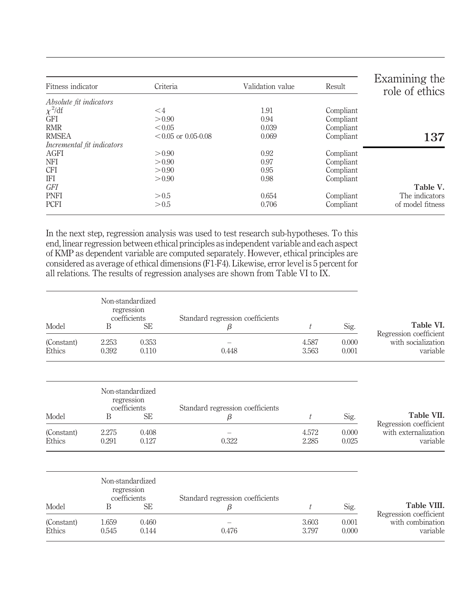| Fitness indicator              | Criteria              | Validation value | Result    | Examining the<br>role of ethics |
|--------------------------------|-----------------------|------------------|-----------|---------------------------------|
| <i>Absolute fit indicators</i> |                       |                  |           |                                 |
| $\chi^2/\text{df}$             | $\leq 4$              | 1.91             | Compliant |                                 |
| <b>GFI</b>                     | > 0.90                | 0.94             | Compliant |                                 |
| <b>RMR</b>                     | < 0.05                | 0.039            | Compliant |                                 |
| <b>RMSEA</b>                   | $< 0.05$ or 0.05-0.08 | 0.069            | Compliant | 137                             |
| Incremental fit indicators     |                       |                  |           |                                 |
| AGFI                           | > 0.90                | 0.92             | Compliant |                                 |
| <b>NFI</b>                     | > 0.90                | 0.97             | Compliant |                                 |
| <b>CFI</b>                     | > 0.90                | 0.95             | Compliant |                                 |
| <b>IFI</b>                     | > 0.90                | 0.98             | Compliant |                                 |
| <b>GFI</b>                     |                       |                  |           | Table V.                        |
| <b>PNFI</b>                    | > 0.5                 | 0.654            | Compliant | The indicators                  |
| <b>PCFI</b>                    | > 0.5                 | 0.706            | Compliant | of model fitness                |

In the next step, regression analysis was used to test research sub-hypotheses. To this end, linear regression between ethical principles as independent variable and each aspect of KMP as dependent variable are computed separately. However, ethical principles are considered as average of ethical dimensions (F1-F4). Likewise, error level is 5 percent for all relations. The results of regression analyses are shown from Table VI to IX.

Ethics 0.291 0.127 0.322 2.285 0.025

| Model                       | B              | Non-standardized<br>regression<br>coefficients<br>SE | Standard regression coefficients<br>β | t              | Sig.           | Table VI.                                                  |
|-----------------------------|----------------|------------------------------------------------------|---------------------------------------|----------------|----------------|------------------------------------------------------------|
| (Constant)<br>Ethics        | 2.253<br>0.392 | 0.353<br>0.110                                       | 0.448                                 | 4.587<br>3.563 | 0.000<br>0.001 | Regression coefficient<br>with socialization<br>variable   |
| Model                       | B              | Non-standardized<br>regression<br>coefficients<br>SE | Standard regression coefficients<br>β | t              | Sig.           | Table VII.                                                 |
| (Constant)<br><b>Ethics</b> | 2.275<br>0.291 | 0.408<br>0.127                                       | 0.322                                 | 4.572<br>2.285 | 0.000<br>0.025 | Regression coefficient<br>with externalization<br>variable |

| Model                |                | Non-standardized<br>regression<br>coefficients<br><b>SE</b> | Standard regression coefficients |                | Sig.           | Table VIII.                                            |
|----------------------|----------------|-------------------------------------------------------------|----------------------------------|----------------|----------------|--------------------------------------------------------|
| (Constant)<br>Ethics | 1.659<br>0.545 | 0.460<br>0.144                                              | 0.476                            | 3.603<br>3.797 | 0.001<br>0.000 | Regression coefficient<br>with combination<br>variable |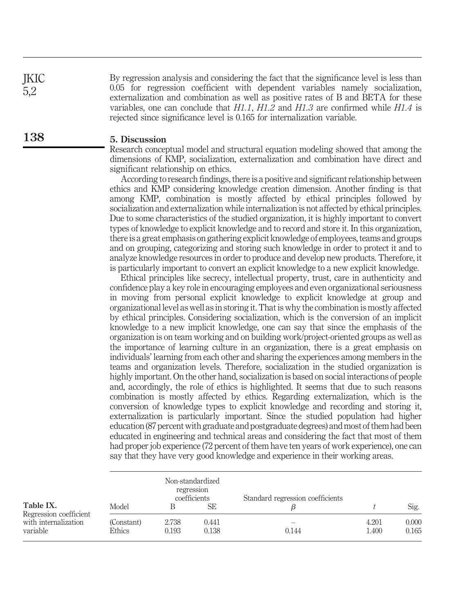By regression analysis and considering the fact that the significance level is less than 0.05 for regression coefficient with dependent variables namely socialization, externalization and combination as well as positive rates of B and BETA for these variables, one can conclude that  $H1.1$ ,  $H1.2$  and  $H1.3$  are confirmed while  $H1.4$  is rejected since significance level is 0.165 for internalization variable.

#### 5. Discussion

Research conceptual model and structural equation modeling showed that among the dimensions of KMP, socialization, externalization and combination have direct and significant relationship on ethics.

According to research findings, there is a positive and significant relationship between ethics and KMP considering knowledge creation dimension. Another finding is that among KMP, combination is mostly affected by ethical principles followed by socialization and externalization while internalization is not affected by ethical principles. Due to some characteristics of the studied organization, it is highly important to convert types of knowledge to explicit knowledge and to record and store it. In this organization, there is a great emphasis on gathering explicit knowledge of employees, teams and groups and on grouping, categorizing and storing such knowledge in order to protect it and to analyze knowledge resources in order to produce and develop new products. Therefore, it is particularly important to convert an explicit knowledge to a new explicit knowledge.

Ethical principles like secrecy, intellectual property, trust, care in authenticity and confidence play a key role in encouraging employees and even organizational seriousness in moving from personal explicit knowledge to explicit knowledge at group and organizational level as well as in storing it. That is why the combination is mostly affected by ethical principles. Considering socialization, which is the conversion of an implicit knowledge to a new implicit knowledge, one can say that since the emphasis of the organization is on team working and on building work/project-oriented groups as well as the importance of learning culture in an organization, there is a great emphasis on individuals' learning from each other and sharing the experiences among members in the teams and organization levels. Therefore, socialization in the studied organization is highly important. On the other hand, socialization is based on social interactions of people and, accordingly, the role of ethics is highlighted. It seems that due to such reasons combination is mostly affected by ethics. Regarding externalization, which is the conversion of knowledge types to explicit knowledge and recording and storing it, externalization is particularly important. Since the studied population had higher education (87 percent with graduate and postgraduate degrees) and most of them had been educated in engineering and technical areas and considering the fact that most of them had proper job experience (72 percent of them have ten years of work experience), one can say that they have very good knowledge and experience in their working areas.

|                                                            |                      | Non-standardized<br>regression<br>coefficients |                | Standard regression coefficients |                |                |
|------------------------------------------------------------|----------------------|------------------------------------------------|----------------|----------------------------------|----------------|----------------|
| Table IX.                                                  | Model                |                                                | SE             |                                  |                | Sig.           |
| Regression coefficient<br>with internalization<br>variable | (Constant)<br>Ethics | 2.738<br>0.193                                 | 0.441<br>0.138 | 0.144                            | 4.201<br>1.400 | 0.000<br>0.165 |

**IKIC** 5,2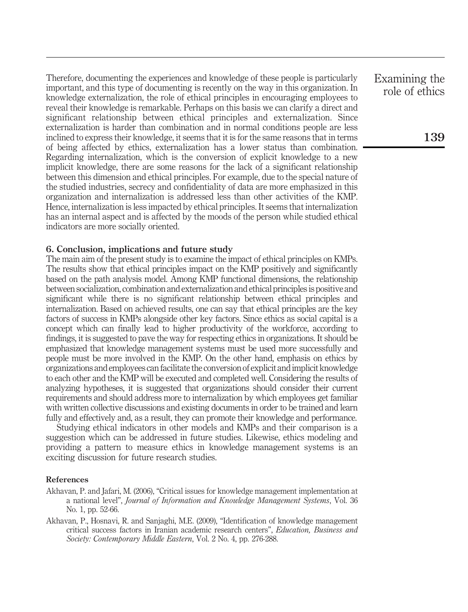Therefore, documenting the experiences and knowledge of these people is particularly important, and this type of documenting is recently on the way in this organization. In knowledge externalization, the role of ethical principles in encouraging employees to reveal their knowledge is remarkable. Perhaps on this basis we can clarify a direct and significant relationship between ethical principles and externalization. Since externalization is harder than combination and in normal conditions people are less inclined to express their knowledge, it seems that it is for the same reasons that in terms of being affected by ethics, externalization has a lower status than combination. Regarding internalization, which is the conversion of explicit knowledge to a new implicit knowledge, there are some reasons for the lack of a significant relationship between this dimension and ethical principles. For example, due to the special nature of the studied industries, secrecy and confidentiality of data are more emphasized in this organization and internalization is addressed less than other activities of the KMP. Hence, internalization is less impacted by ethical principles. It seems that internalization has an internal aspect and is affected by the moods of the person while studied ethical indicators are more socially oriented.

#### 6. Conclusion, implications and future study

The main aim of the present study is to examine the impact of ethical principles on KMPs. The results show that ethical principles impact on the KMP positively and significantly based on the path analysis model. Among KMP functional dimensions, the relationship between socialization, combination and externalization and ethical principles is positive and significant while there is no significant relationship between ethical principles and internalization. Based on achieved results, one can say that ethical principles are the key factors of success in KMPs alongside other key factors. Since ethics as social capital is a concept which can finally lead to higher productivity of the workforce, according to findings, it is suggested to pave the way for respecting ethics in organizations. It should be emphasized that knowledge management systems must be used more successfully and people must be more involved in the KMP. On the other hand, emphasis on ethics by organizations and employees can facilitate the conversion of explicit and implicit knowledge to each other and the KMP will be executed and completed well. Considering the results of analyzing hypotheses, it is suggested that organizations should consider their current requirements and should address more to internalization by which employees get familiar with written collective discussions and existing documents in order to be trained and learn fully and effectively and, as a result, they can promote their knowledge and performance.

Studying ethical indicators in other models and KMPs and their comparison is a suggestion which can be addressed in future studies. Likewise, ethics modeling and providing a pattern to measure ethics in knowledge management systems is an exciting discussion for future research studies.

#### References

- Akhavan, P. and Jafari, M. (2006), "Critical issues for knowledge management implementation at a national level", Journal of Information and Knowledge Management Systems, Vol. 36 No. 1, pp. 52-66.
- Akhavan, P., Hosnavi, R. and Sanjaghi, M.E. (2009), "Identification of knowledge management critical success factors in Iranian academic research centers", Education, Business and Society: Contemporary Middle Eastern, Vol. 2 No. 4, pp. 276-288.

Examining the role of ethics

139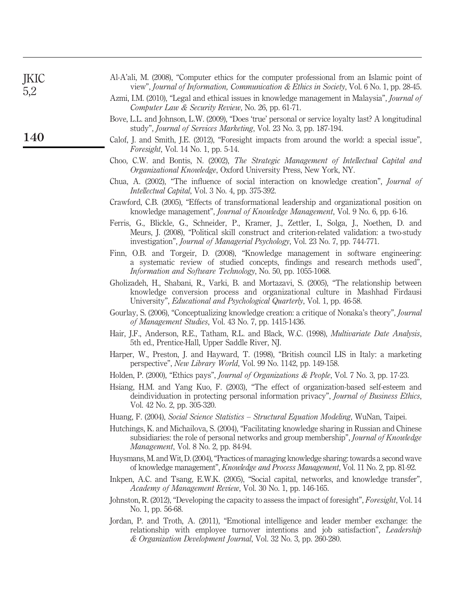| <b>IKIC</b><br>5,2 | Al-A'ali, M. (2008), "Computer ethics for the computer professional from an Islamic point of<br>view", Journal of Information, Communication & Ethics in Society, Vol. 6 No. 1, pp. 28-45.                                                                                 |
|--------------------|----------------------------------------------------------------------------------------------------------------------------------------------------------------------------------------------------------------------------------------------------------------------------|
|                    | Azmi, I.M. (2010), "Legal and ethical issues in knowledge management in Malaysia", Journal of<br>Computer Law & Security Review, No. 26, pp. 61-71.                                                                                                                        |
|                    | Bove, L.L. and Johnson, L.W. (2009), "Does 'true' personal or service loyalty last? A longitudinal<br>study", Journal of Services Marketing, Vol. 23 No. 3, pp. 187-194.                                                                                                   |
| <b>140</b>         | Calof, J. and Smith, J.E. (2012), "Foresight impacts from around the world: a special issue",<br><i>Foresight</i> , Vol. 14 No. 1, pp. 5-14.                                                                                                                               |
|                    | Choo, C.W. and Bontis, N. (2002), The Strategic Management of Intellectual Capital and<br>Organizational Knowledge, Oxford University Press, New York, NY.                                                                                                                 |
|                    | Chua, A. (2002), "The influence of social interaction on knowledge creation", Journal of<br><i>Intellectual Capital, Vol. 3 No. 4, pp. 375-392.</i>                                                                                                                        |
|                    | Crawford, C.B. (2005), "Effects of transformational leadership and organizational position on<br>knowledge management", Journal of Knowledge Management, Vol. 9 No. 6, pp. 6-16.                                                                                           |
|                    | Ferris, G., Blickle, G., Schneider, P., Kramer, J., Zettler, I., Solga, J., Noethen, D. and<br>Meurs, J. (2008), "Political skill construct and criterion-related validation: a two-study<br>investigation", Journal of Managerial Psychology, Vol. 23 No. 7, pp. 744-771. |
|                    | Finn, O.B. and Torgeir, D. (2008), "Knowledge management in software engineering:<br>a systematic review of studied concepts, findings and research methods used",<br><i>Information and Software Technology</i> , No. 50, pp. 1055-1068.                                  |
|                    | Gholizadeh, H., Shabani, R., Varki, B. and Mortazavi, S. (2005), "The relationship between<br>knowledge conversion process and organizational culture in Mashhad Firdausi<br>University", Educational and Psychological Quarterly, Vol. 1, pp. 46-58.                      |
|                    | Gourlay, S. (2006), "Conceptualizing knowledge creation: a critique of Nonaka's theory", Journal<br>of Management Studies, Vol. 43 No. 7, pp. 1415-1436.                                                                                                                   |
|                    | Hair, J.F., Anderson, R.E., Tatham, R.L. and Black, W.C. (1998), <i>Multivariate Date Analysis</i> ,<br>5th ed., Prentice-Hall, Upper Saddle River, NJ.                                                                                                                    |
|                    | Harper, W., Preston, J. and Hayward, T. (1998), "British council LIS in Italy: a marketing<br>perspective", New Library World, Vol. 99 No. 1142, pp. 149-158.                                                                                                              |
|                    | Holden, P. (2000), "Ethics pays", <i>Journal of Organizations &amp; People</i> , Vol. 7 No. 3, pp. 17-23.                                                                                                                                                                  |
|                    | Hsiang, H.M. and Yang Kuo, F. (2003), "The effect of organization-based self-esteem and<br>deindividuation in protecting personal information privacy", <i>Journal of Business Ethics</i> ,<br>Vol. 42 No. 2, pp. 305-320.                                                 |
|                    | Huang, F. (2004), Social Science Statistics - Structural Equation Modeling, WuNan, Taipei.                                                                                                                                                                                 |
|                    | Hutchings, K. and Michailova, S. (2004), "Facilitating knowledge sharing in Russian and Chinese<br>subsidiaries: the role of personal networks and group membership", Journal of Knowledge<br><i>Management</i> , Vol. 8 No. 2, pp. 84-94.                                 |
|                    | Huysmans, M. and Wit, D. (2004), "Practices of managing knowledge sharing: towards a second wave<br>of knowledge management", Knowledge and Process Management, Vol. 11 No. 2, pp. 81-92.                                                                                  |
|                    | Inkpen, A.C. and Tsang, E.W.K. (2005), "Social capital, networks, and knowledge transfer",<br>Academy of Management Review, Vol. 30 No. 1, pp. 146-165.                                                                                                                    |
|                    | Johnston, R. (2012), "Developing the capacity to assess the impact of foresight", <i>Foresight</i> , Vol. 14<br>No. 1, pp. 56-68.                                                                                                                                          |
|                    | Jordan, P. and Troth, A. (2011), "Emotional intelligence and leader member exchange: the<br>relationship with employee turnover intentions and job satisfaction", Leadership<br>& Organization Development Journal, Vol. 32 No. 3, pp. 260-280.                            |
|                    |                                                                                                                                                                                                                                                                            |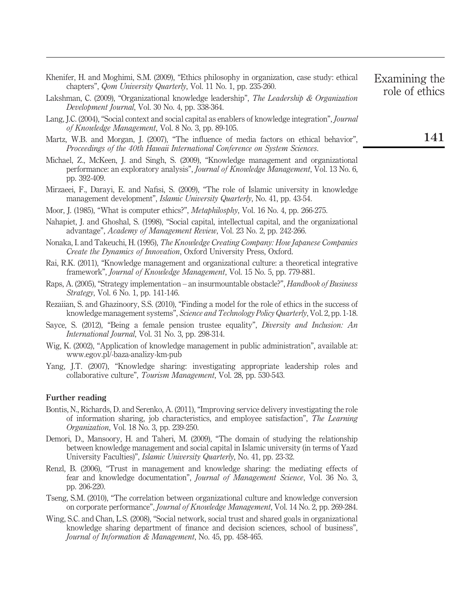| role of ethics | chapters", Qom University Quarterly, Vol. 11 No. 1, pp. 235-260.                                                                                                                                         |
|----------------|----------------------------------------------------------------------------------------------------------------------------------------------------------------------------------------------------------|
|                | Lakshman, C. (2009), "Organizational knowledge leadership", The Leadership & Organization<br><i>Development Journal</i> , Vol. 30 No. 4, pp. 338-364.                                                    |
|                | Lang, J.C. (2004), "Social context and social capital as enablers of knowledge integration", <i>Journal</i><br>of Knowledge Management, Vol. 8 No. 3, pp. 89-105.                                        |
| 141            | Martz, W.B. and Morgan, J. (2007), "The influence of media factors on ethical behavior",<br>Proceedings of the 40th Hawaii International Conference on System Sciences.                                  |
|                | Michael, Z., McKeen, J. and Singh, S. (2009), "Knowledge management and organizational<br>performance: an exploratory analysis", <i>Journal of Knowledge Management</i> , Vol. 13 No. 6,<br>pp. 392-409. |
|                | Mirzaeei, F., Darayi, E. and Nafisi, S. (2009), "The role of Islamic university in knowledge<br>management development", <i>Islamic University Quarterly</i> , No. 41, pp. 43-54.                        |
|                | Moor, J. (1985), "What is computer ethics?", <i>Metaphilosphy</i> , Vol. 16 No. 4, pp. 266-275.                                                                                                          |

Examining the

Nahapiet, J. and Ghoshal, S. (1998), "Social capital, intellectual capital, and the organizational advantage", Academy of Management Review, Vol. 23 No. 2, pp. 242-266.

Khenifer, H. and Moghimi, S.M. (2009), "Ethics philosophy in organization, case study: ethical

- Nonaka, I. and Takeuchi, H. (1995), The Knowledge Creating Company: How Japanese Companies Create the Dynamics of Innovation, Oxford University Press, Oxford.
- Rai, R.K. (2011), "Knowledge management and organizational culture: a theoretical integrative framework", Journal of Knowledge Management, Vol. 15 No. 5, pp. 779-881.
- Raps, A. (2005), "Strategy implementation an insurmountable obstacle?", Handbook of Business Strategy, Vol. 6 No. 1, pp. 141-146.
- Rezaiian, S. and Ghazinoory, S.S. (2010), "Finding a model for the role of ethics in the success of knowledge management systems", Science and Technology Policy Quarterly, Vol. 2, pp. 1-18.
- Sayce, S. (2012), "Being a female pension trustee equality", Diversity and Inclusion: An International Journal, Vol. 31 No. 3, pp. 298-314.
- Wig, K. (2002), "Application of knowledge management in public administration", available at: www.egov.pl/-baza-analizy-km-pub
- Yang, J.T. (2007), "Knowledge sharing: investigating appropriate leadership roles and collaborative culture", Tourism Management, Vol. 28, pp. 530-543.

#### Further reading

- Bontis, N., Richards, D. and Serenko, A. (2011), "Improving service delivery investigating the role of information sharing, job characteristics, and employee satisfaction", The Learning Organization, Vol. 18 No. 3, pp. 239-250.
- Demori, D., Mansoory, H. and Taheri, M. (2009), "The domain of studying the relationship between knowledge management and social capital in Islamic university (in terms of Yazd University Faculties)", Islamic University Quarterly, No. 41, pp. 23-32.
- Renzl, B. (2006), "Trust in management and knowledge sharing: the mediating effects of fear and knowledge documentation", Journal of Management Science, Vol. 36 No. 3, pp. 206-220.
- Tseng, S.M. (2010), "The correlation between organizational culture and knowledge conversion on corporate performance", Journal of Knowledge Management, Vol. 14 No. 2, pp. 269-284.
- Wing, S.C. and Chan, L.S. (2008), "Social network, social trust and shared goals in organizational knowledge sharing department of finance and decision sciences, school of business", Journal of Information & Management, No. 45, pp. 458-465.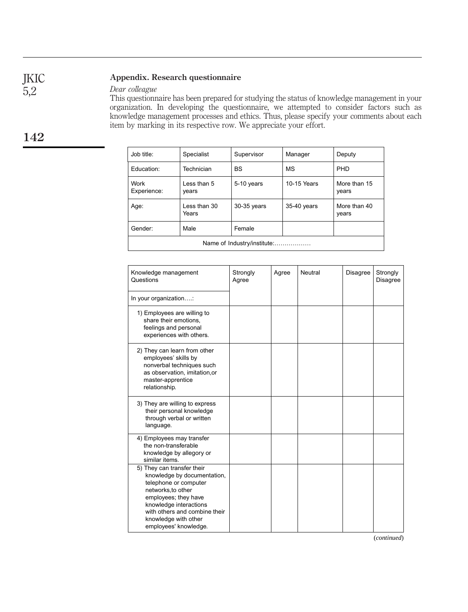#### Appendix. Research questionnaire

#### Dear colleague

This questionnaire has been prepared for studying the status of knowledge management in your organization. In developing the questionnaire, we attempted to consider factors such as knowledge management processes and ethics. Thus, please specify your comments about each item by marking in its respective row. We appreciate your effort.

### 142

JKIC 5,2

| Job title:                  | Specialist            | Supervisor    | Manager     | Deputy                |  |
|-----------------------------|-----------------------|---------------|-------------|-----------------------|--|
| Education:                  | Technician            | BS            | MS          | <b>PHD</b>            |  |
| Work<br>Experience:         | Less than 5<br>years  | $5-10$ years  | 10-15 Years | More than 15<br>years |  |
| Age:                        | Less than 30<br>Years | $30-35$ years | 35-40 years | More than 40<br>years |  |
| Gender:                     | Male                  | Female        |             |                       |  |
| Name of Industry/institute: |                       |               |             |                       |  |

| Knowledge management<br>Questions                                                                                                                                                                                                            | Strongly<br>Agree | Agree | Neutral | <b>Disagree</b> | Strongly<br><b>Disagree</b> |
|----------------------------------------------------------------------------------------------------------------------------------------------------------------------------------------------------------------------------------------------|-------------------|-------|---------|-----------------|-----------------------------|
| In your organization:                                                                                                                                                                                                                        |                   |       |         |                 |                             |
| 1) Employees are willing to<br>share their emotions.<br>feelings and personal<br>experiences with others.                                                                                                                                    |                   |       |         |                 |                             |
| 2) They can learn from other<br>employees' skills by<br>nonverbal techniques such<br>as observation, imitation, or<br>master-apprentice<br>relationship.                                                                                     |                   |       |         |                 |                             |
| 3) They are willing to express<br>their personal knowledge<br>through verbal or written<br>language.                                                                                                                                         |                   |       |         |                 |                             |
| 4) Employees may transfer<br>the non-transferable<br>knowledge by allegory or<br>similar items.                                                                                                                                              |                   |       |         |                 |                             |
| 5) They can transfer their<br>knowledge by documentation,<br>telephone or computer<br>networks, to other<br>employees; they have<br>knowledge interactions<br>with others and combine their<br>knowledge with other<br>employees' knowledge. |                   |       |         |                 |                             |

(*continued*)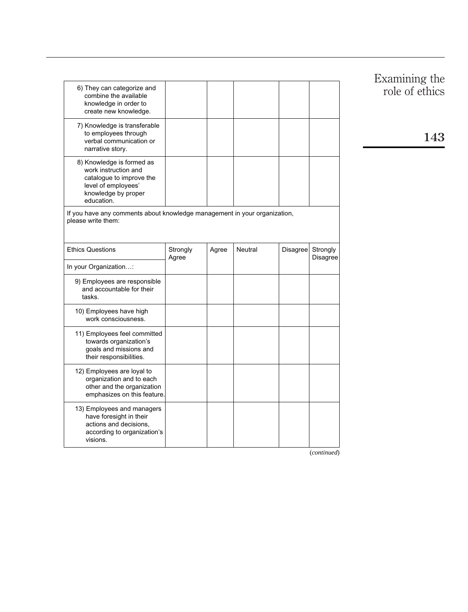| 6) They can categorize and<br>combine the available<br>knowledge in order to<br>create new knowledge.                                     |                   |       |         |          |                             |  |
|-------------------------------------------------------------------------------------------------------------------------------------------|-------------------|-------|---------|----------|-----------------------------|--|
| 7) Knowledge is transferable<br>to employees through<br>verbal communication or<br>narrative story.                                       |                   |       |         |          |                             |  |
| 8) Knowledge is formed as<br>work instruction and<br>catalogue to improve the<br>level of employees'<br>knowledge by proper<br>education. |                   |       |         |          |                             |  |
| If you have any comments about knowledge management in your organization,<br>please write them:                                           |                   |       |         |          |                             |  |
| <b>Ethics Questions</b>                                                                                                                   | Strongly<br>Agree | Agree | Neutral | Disagree | Strongly<br><b>Disagree</b> |  |
| In your Organization:                                                                                                                     |                   |       |         |          |                             |  |
| 9) Employees are responsible<br>and accountable for their<br>tasks.                                                                       |                   |       |         |          |                             |  |
| 10) Employees have high<br>work consciousness.                                                                                            |                   |       |         |          |                             |  |
| 11) Employees feel committed<br>towards organization's<br>goals and missions and<br>their responsibilities.                               |                   |       |         |          |                             |  |
| 12) Employees are loyal to<br>organization and to each<br>other and the organization<br>emphasizes on this feature.                       |                   |       |         |          |                             |  |
| 13) Employees and managers<br>have foresight in their<br>actions and decisions,<br>according to organization's<br>visions.                |                   |       |         |          |                             |  |
|                                                                                                                                           |                   |       |         |          |                             |  |

Examining the role of ethics

(*continued*)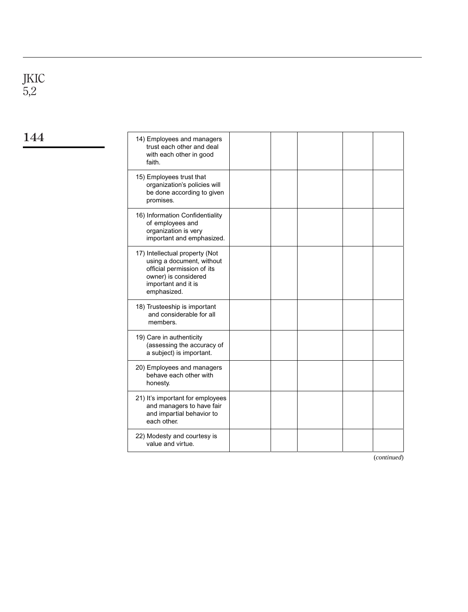## 144

| 14) Employees and managers<br>trust each other and deal<br>with each other in good<br>faith.                                                            |  |  |  |
|---------------------------------------------------------------------------------------------------------------------------------------------------------|--|--|--|
| 15) Employees trust that<br>organization's policies will<br>be done according to given<br>promises.                                                     |  |  |  |
| 16) Information Confidentiality<br>of employees and<br>organization is very<br>important and emphasized.                                                |  |  |  |
| 17) Intellectual property (Not<br>using a document, without<br>official permission of its<br>owner) is considered<br>important and it is<br>emphasized. |  |  |  |
| 18) Trusteeship is important<br>and considerable for all<br>members.                                                                                    |  |  |  |
| 19) Care in authenticity<br>(assessing the accuracy of<br>a subject) is important.                                                                      |  |  |  |
| 20) Employees and managers<br>behave each other with<br>honesty.                                                                                        |  |  |  |
| 21) It's important for employees<br>and managers to have fair<br>and impartial behavior to<br>each other.                                               |  |  |  |
| 22) Modesty and courtesy is<br>value and virtue.                                                                                                        |  |  |  |

(*continued* )